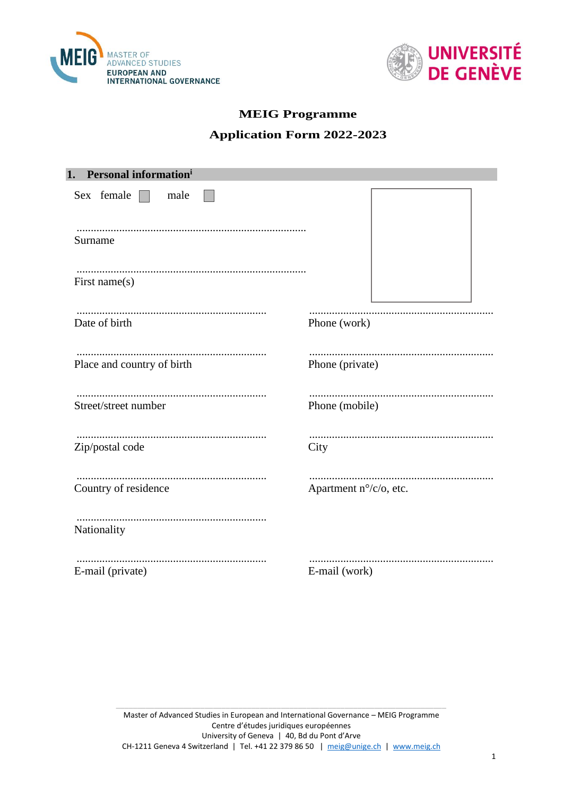



# **MEIG Programme**

# **Application Form 2022-2023**

| 1. Personal informationi   |                        |
|----------------------------|------------------------|
| Sex female $\Box$<br>male  |                        |
| Surname                    |                        |
| First name $(s)$           |                        |
|                            |                        |
| Date of birth              | Phone (work)           |
|                            |                        |
| Place and country of birth | Phone (private)        |
|                            |                        |
| Street/street number       | Phone (mobile)         |
|                            |                        |
| Zip/postal code            | City                   |
|                            |                        |
| Country of residence       | Apartment n°/c/o, etc. |
| Nationality                |                        |
|                            |                        |
| E-mail (private)           | E-mail (work)          |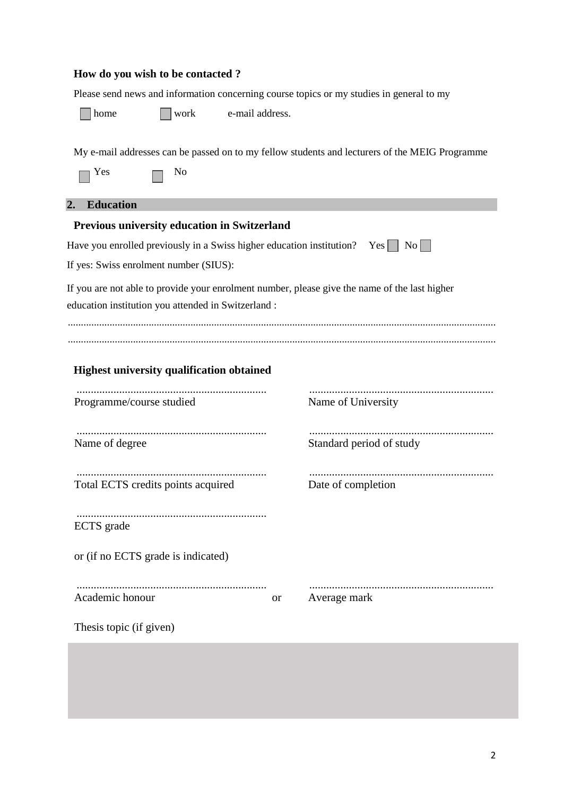## **How do you wish to be contacted ?**

Please send news and information concerning course topics or my studies in general to my

home work e-mail address.

My e-mail addresses can be passed on to my fellow students and lecturers of the MEIG Programme

| es |  | N٥ |
|----|--|----|
|----|--|----|

# **2. Education**

| Previous university education in Switzerland                                                                                                         |           |                          |  |  |
|------------------------------------------------------------------------------------------------------------------------------------------------------|-----------|--------------------------|--|--|
|                                                                                                                                                      |           |                          |  |  |
| If yes: Swiss enrolment number (SIUS):                                                                                                               |           |                          |  |  |
| If you are not able to provide your enrolment number, please give the name of the last higher<br>education institution you attended in Switzerland : |           |                          |  |  |
| <b>Highest university qualification obtained</b>                                                                                                     |           |                          |  |  |
| Programme/course studied                                                                                                                             |           | Name of University       |  |  |
| Name of degree                                                                                                                                       |           | Standard period of study |  |  |
| Total ECTS credits points acquired                                                                                                                   |           | Date of completion       |  |  |
| ECTS grade                                                                                                                                           |           |                          |  |  |
| or (if no ECTS grade is indicated)                                                                                                                   |           |                          |  |  |
| Academic honour                                                                                                                                      | <b>or</b> | Average mark             |  |  |
| Thesis topic (if given)                                                                                                                              |           |                          |  |  |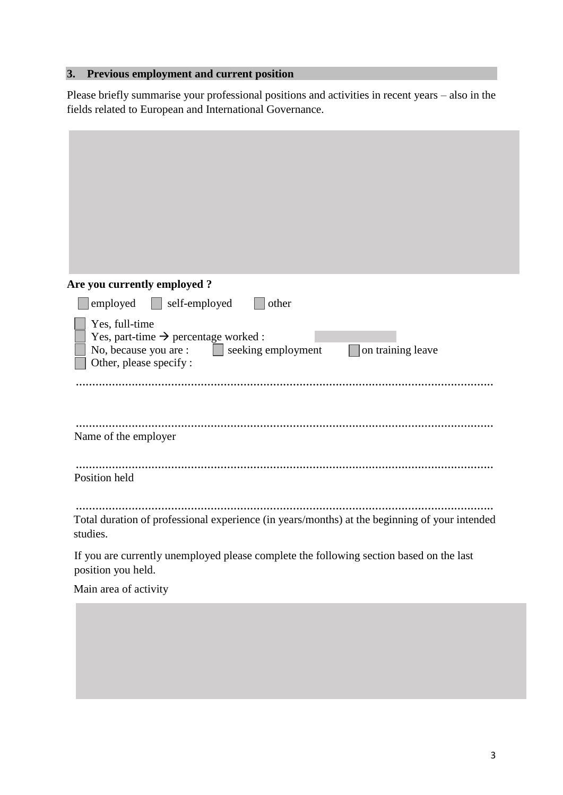# **3. Previous employment and current position**

Please briefly summarise your professional positions and activities in recent years – also in the fields related to European and International Governance.

| Are you currently employed?                                                                                                                                              |
|--------------------------------------------------------------------------------------------------------------------------------------------------------------------------|
| employed<br>self-employed<br>other                                                                                                                                       |
| Yes, full-time<br>Yes, part-time $\rightarrow$ percentage worked :<br>No, because you are :<br>$\vert$ seeking employment<br>on training leave<br>Other, please specify: |
| <br>Name of the employer                                                                                                                                                 |
| Position held                                                                                                                                                            |
| Total duration of professional experience (in years/months) at the beginning of your intended<br>studies.                                                                |
| If you are currently unemployed please complete the following section based on the last<br>position you held.                                                            |
| Main area of activity                                                                                                                                                    |
|                                                                                                                                                                          |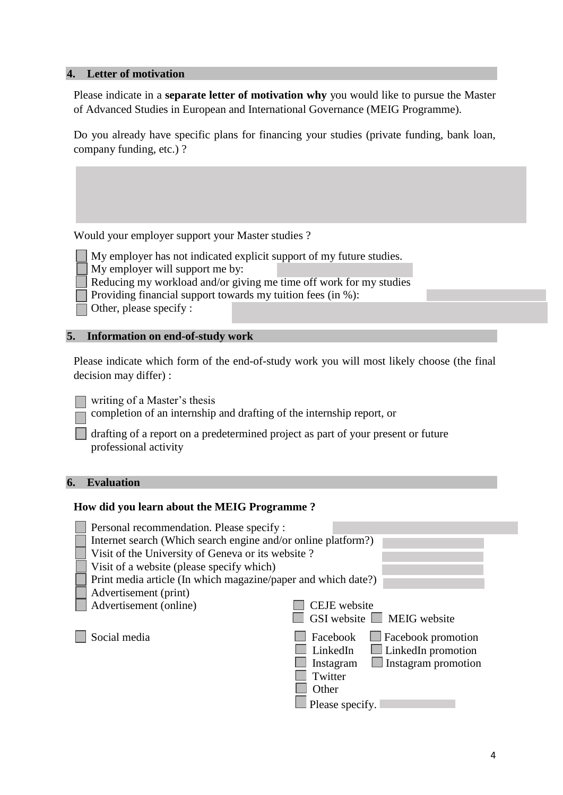### **4. Letter of motivation**

Please indicate in a **separate letter of motivation why** you would like to pursue the Master of Advanced Studies in European and International Governance (MEIG Programme).

Do you already have specific plans for financing your studies (private funding, bank loan, company funding, etc.) ?

Would your employer support your Master studies ?

My employer has not indicated explicit support of my future studies. My employer will support me by:

Reducing my workload and/or giving me time off work for my studies

Providing financial support towards my tuition fees (in %):

Other, please specify :

#### **5. Information on end-of-study work**

Please indicate which form of the end-of-study work you will most likely choose (the final decision may differ) :

writing of a Master's thesis

completion of an internship and drafting of the internship report, or

drafting of a report on a predetermined project as part of your present or future professional activity

## **6. Evaluation**

#### **How did you learn about the MEIG Programme ?**

| Personal recommendation. Please specify :                     |                                         |
|---------------------------------------------------------------|-----------------------------------------|
| Internet search (Which search engine and/or online platform?) |                                         |
| Visit of the University of Geneva or its website?             |                                         |
| Visit of a website (please specify which)                     |                                         |
| Print media article (In which magazine/paper and which date?) |                                         |
| Advertisement (print)                                         |                                         |
| Advertisement (online)                                        | CEJE website                            |
|                                                               | GSI website $\Box$ MEIG website         |
| Social media                                                  | Facebook<br>$\Box$ Facebook promotion   |
|                                                               | $\Box$ LinkedIn promotion<br>LinkedIn   |
|                                                               | $\Box$ Instagram promotion<br>Instagram |
|                                                               | Twitter                                 |
|                                                               | Other                                   |
|                                                               | Please specify.                         |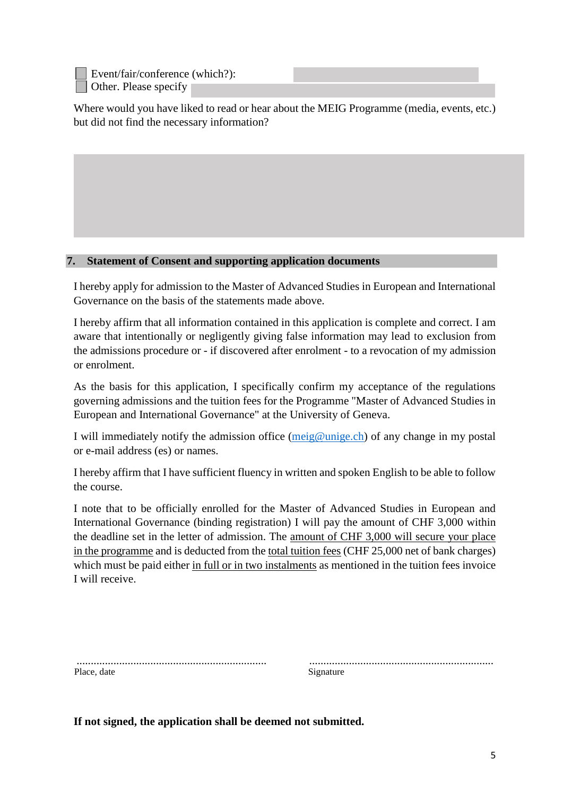Event/fair/conference (which?): Other. Please specify

Where would you have liked to read or hear about the MEIG Programme (media, events, etc.) but did not find the necessary information?

## **7. Statement of Consent and supporting application documents**

I hereby apply for admission to the Master of Advanced Studies in European and International Governance on the basis of the statements made above.

I hereby affirm that all information contained in this application is complete and correct. I am aware that intentionally or negligently giving false information may lead to exclusion from the admissions procedure or - if discovered after enrolment - to a revocation of my admission or enrolment.

As the basis for this application, I specifically confirm my acceptance of the regulations governing admissions and the tuition fees for the Programme "Master of Advanced Studies in European and International Governance" at the University of Geneva.

I will immediately notify the admission office  $(meig@unige.ch)$  of any change in my postal or e-mail address (es) or names.

I hereby affirm that I have sufficient fluency in written and spoken English to be able to follow the course.

I note that to be officially enrolled for the Master of Advanced Studies in European and International Governance (binding registration) I will pay the amount of CHF 3,000 within the deadline set in the letter of admission. The amount of CHF 3,000 will secure your place in the programme and is deducted from the total tuition fees (CHF 25,000 net of bank charges) which must be paid either in full or in two instalments as mentioned in the tuition fees invoice I will receive.

| Place, date | Signature |
|-------------|-----------|

................................................................... .................................................................

**If not signed, the application shall be deemed not submitted.**